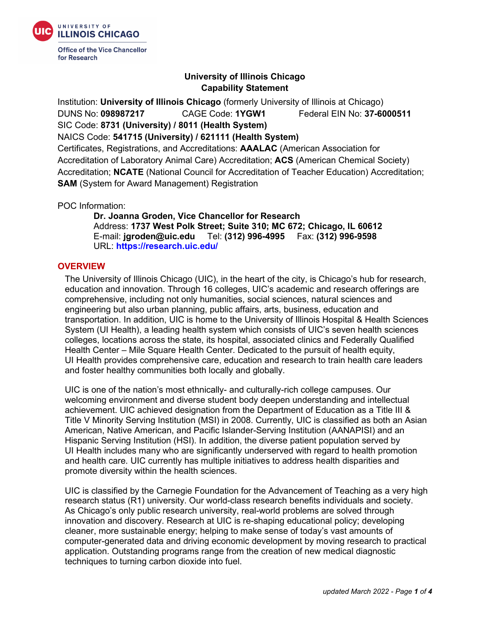

for Research

# **University of Illinois Chicago Capability Statement**

Institution: **University of Illinois Chicago** (formerly University of Illinois at Chicago) DUNS No: **098987217** CAGE Code: **1YGW1** Federal EIN No: **37-6000511**  SIC Code: **8731 (University) / 8011 (Health System)**  NAICS Code: **541715 (University) / 621111 (Health System)**

Certificates, Registrations, and Accreditations: **AAALAC** (American Association for Accreditation of Laboratory Animal Care) Accreditation; **ACS** (American Chemical Society) Accreditation; **NCATE** (National Council for Accreditation of Teacher Education) Accreditation; **SAM** (System for Award Management) Registration

POC Information:

**Dr. Joanna Groden, Vice Chancellor for Research**  Address: **1737 West Polk Street; Suite 310; MC 672; Chicago, IL 60612** E-mail: **jgroden@uic.edu** Tel: **(312) 996-4995** Fax: **(312) 996-9598** URL: **<https://research.uic.edu/>**

## **OVERVIEW**

The University of Illinois Chicago (UIC), in the heart of the city, is Chicago's hub for research, education and innovation. Through 16 colleges, UIC's academic and research offerings are comprehensive, including not only humanities, social sciences, natural sciences and engineering but also urban planning, public affairs, arts, business, education and transportation. In addition, UIC is home to the University of Illinois Hospital & Health Sciences System (UI Health), a leading health system which consists of UIC's seven health sciences colleges, locations across the state, its hospital, associated clinics and Federally Qualified Health Center – Mile Square Health Center. Dedicated to the pursuit of health equity, UI Health provides comprehensive care, education and research to train health care leaders and foster healthy communities both locally and globally.

UIC is one of the nation's most ethnically- and culturally-rich college campuses. Our welcoming environment and diverse student body deepen understanding and intellectual achievement. UIC achieved designation from the Department of Education as a Title III & Title V Minority Serving Institution (MSI) in 2008. Currently, UIC is classified as both an Asian American, Native American, and Pacific Islander-Serving Institution (AANAPISI) and an Hispanic Serving Institution (HSI). In addition, the diverse patient population served by UI Health includes many who are significantly underserved with regard to health promotion and health care. UIC currently has multiple initiatives to address health disparities and promote diversity within the health sciences.

UIC is classified by the Carnegie Foundation for the Advancement of Teaching as a very high research status (R1) university. Our world-class research benefits individuals and society. As Chicago's only public research university, real-world problems are solved through innovation and discovery. Research at UIC is re-shaping educational policy; developing cleaner, more sustainable energy; helping to make sense of today's vast amounts of computer-generated data and driving economic development by moving research to practical application. Outstanding programs range from the creation of new medical diagnostic techniques to turning carbon dioxide into fuel.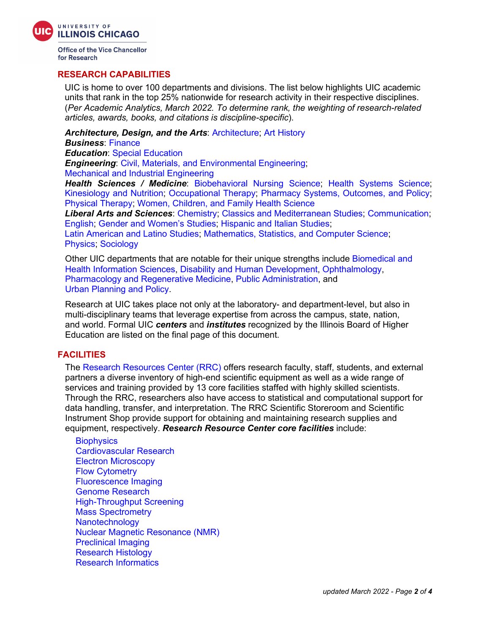

**Office of the Vice Chancellor** for Research

## **RESEARCH CAPABILITIES**

UIC is home to over 100 departments and divisions. The list below highlights UIC academic units that rank in the top 25% nationwide for research activity in their respective disciplines. (*Per Academic Analytics, March 2022. To determine rank, the weighting of research-related articles, awards, books, and citations is discipline-specific*).

*Architecture, Design, and the Arts*: [Architecture;](https://arch.uic.edu/) [Art History](https://arthistory.uic.edu/)

*Business*: [Finance](https://business.uic.edu/faculty-and-research/research-2/department-of-finance/)

*Education*: [Special Education](https://education.uic.edu/academics/education-departments/special-education-department/)

*Engineering*: [Civil, Materials, and Environmental Engineering;](https://cme.uic.edu/) [Mechanical and Industrial Engineering](https://mie.uic.edu/)

*Health Sciences / Medicine*: [Biobehavioral Nursing Science;](https://nursing.uic.edu/about/academic-departments/biobehavioral-nursing-science/) [Health Systems Science;](https://nursing.uic.edu/about/academic-departments/population-health-nursing-science/) [Kinesiology and Nutrition;](https://ahs.uic.edu/kinesiology-nutrition/) [Occupational Therapy;](https://ahs.uic.edu/occupational-therapy/) [Pharmacy Systems, Outcomes, and Policy;](https://pharmacy.uic.edu/departments-and-centers/departments-2/pharmacy-systems-outcomes-and-policy/) [Physical Therapy;](https://ahs.uic.edu/physical-therapy/) [Women, Children, and Family Health Science](https://nursing.uic.edu/about/academic-departments/human-development-nursing-science/)

*Liberal Arts and Sciences*: [Chemistry;](https://chem.uic.edu/) [Classics and Mediterranean Studies;](https://clasmed.uic.edu/) [Communication;](https://comm.uic.edu/) [English;](https://engl.uic.edu/) [Gender and Women's Studies;](https://gws.uic.edu/) [Hispanic and Italian Studies;](https://hip.uic.edu/)

[Latin American and Latino Studies;](https://lals.uic.edu/) [Mathematics, Statistics, and Computer Science;](https://mscs.uic.edu/) [Physics;](https://phys.uic.edu/) [Sociology](https://soc.uic.edu/)

Other UIC departments that are notable for their unique strengths include [Biomedical and](https://ahs.uic.edu/biomedical-health-information-sciences/)  [Health Information Sciences,](https://ahs.uic.edu/biomedical-health-information-sciences/) [Disability and Human Development,](https://ahs.uic.edu/disability-human-development/) [Ophthalmology,](https://chicago.medicine.uic.edu/departments/academic-departments/ophthalmology-visual-sciences/) [Pharmacology and Regenerative Medicine,](http://mcph.uic.edu/) [Public Administration,](https://cuppa.uic.edu/academics/pa/) and [Urban Planning and Policy.](https://cuppa.uic.edu/academics/upp/)

Research at UIC takes place not only at the laboratory- and department-level, but also in multi-disciplinary teams that leverage expertise from across the campus, state, nation, and world. Formal UIC *centers* and *institutes* recognized by the Illinois Board of Higher Education are listed on the final page of this document.

## **FACILITIES**

The [Research Resources Center \(RRC\)](https://rrc.uic.edu/) offers research faculty, staff, students, and external partners a diverse inventory of high-end scientific equipment as well as a wide range of services and training provided by 13 core facilities staffed with highly skilled scientists. Through the RRC, researchers also have access to statistical and computational support for data handling, transfer, and interpretation. The RRC Scientific Storeroom and Scientific Instrument Shop provide support for obtaining and maintaining research supplies and equipment, respectively. *Research Resource Center core facilities* include:

**[Biophysics](https://rrc.uic.edu/biophysics-core/)** [Cardiovascular Research](https://rrc.uic.edu/cores/cardiovascular-research-core/) [Electron Microscopy](https://rrc.uic.edu/cores/electron-microscopy-service-ems/) [Flow Cytometry](https://rrc.uic.edu/cores/flow-cytometry-core/) [Fluorescence Imaging](https://rrc.uic.edu/cores/fluorescence-imaging-core/) [Genome Research](http://rrc.uic.edu/cores/genome-research-core/) [High-Throughput Screening](https://rrc.uic.edu/cores/bioanalytics-biophysics-cytomics/high-throughput-screening-core/) [Mass Spectrometry](https://rrc.uic.edu/cores/mass-spectrometry-core/) **[Nanotechnology](https://ncf.uic.edu/)** [Nuclear Magnetic Resonance \(NMR\)](https://rrc.uic.edu/cores/nuclear-magnetic-resonance/) [Preclinical Imaging](https://rrc.uic.edu/cores/animal-imaging-core/) [Research Histology](https://rrc.uic.edu/cores/histology-core/) [Research Informatics](https://rrc.uic.edu/cores/research-informatics-core/)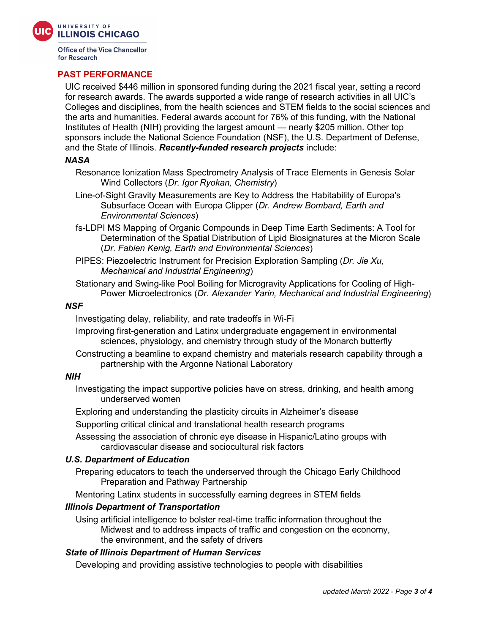

**Office of the Vice Chancellor** for Research

### **PAST PERFORMANCE**

UIC received \$446 million in sponsored funding during the 2021 fiscal year, setting a record for research awards. The awards supported a wide range of research activities in all UIC's Colleges and disciplines, from the health sciences and STEM fields to the social sciences and the arts and humanities. Federal awards account for 76% of this funding, with the National Institutes of Health (NIH) providing the largest amount — nearly \$205 million. Other top sponsors include the National Science Foundation (NSF), the U.S. Department of Defense, and the State of Illinois. *Recently-funded research projects* include:

#### *NASA*

- Resonance Ionization Mass Spectrometry Analysis of Trace Elements in Genesis Solar Wind Collectors (*Dr. Igor Ryokan, Chemistry*)
- Line-of-Sight Gravity Measurements are Key to Address the Habitability of Europa's Subsurface Ocean with Europa Clipper (*Dr. Andrew Bombard, Earth and Environmental Sciences*)
- fs-LDPI MS Mapping of Organic Compounds in Deep Time Earth Sediments: A Tool for Determination of the Spatial Distribution of Lipid Biosignatures at the Micron Scale (*Dr. Fabien Kenig, Earth and Environmental Sciences*)
- PIPES: Piezoelectric Instrument for Precision Exploration Sampling (*Dr. Jie Xu, Mechanical and Industrial Engineering*)
- Stationary and Swing-like Pool Boiling for Microgravity Applications for Cooling of High-Power Microelectronics (*Dr. Alexander Yarin, Mechanical and Industrial Engineering*)

#### *NSF*

Investigating delay, reliability, and rate tradeoffs in Wi-Fi

- Improving first-generation and Latinx undergraduate engagement in environmental sciences, physiology, and chemistry through study of the Monarch butterfly
- Constructing a beamline to expand chemistry and materials research capability through a partnership with the Argonne National Laboratory

### *NIH*

Investigating the impact supportive policies have on stress, drinking, and health among underserved women

Exploring and understanding the plasticity circuits in Alzheimer's disease

Supporting critical clinical and translational health research programs

Assessing the association of chronic eye disease in Hispanic/Latino groups with cardiovascular disease and sociocultural risk factors

### *U.S. Department of Education*

Preparing educators to teach the underserved through the Chicago Early Childhood Preparation and Pathway Partnership

Mentoring Latinx students in successfully earning degrees in STEM fields

### *Illinois Department of Transportation*

Using artificial intelligence to bolster real-time traffic information throughout the Midwest and to address impacts of traffic and congestion on the economy, the environment, and the safety of drivers

### *State of Illinois Department of Human Services*

Developing and providing assistive technologies to people with disabilities